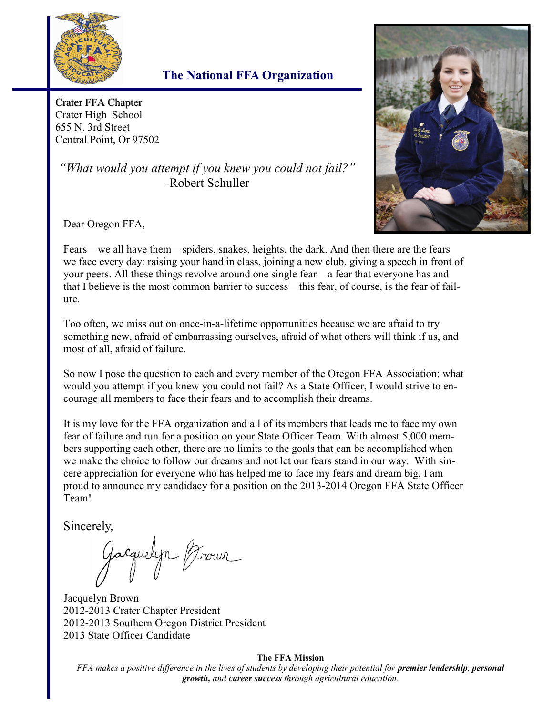

## **The National FFA Organization**

Crater FFA Chapter Crater High School 655 N. 3rd Street Central Point, Or 97502

*"What would you attempt if you knew you could not fail?" -*Robert Schuller



Dear Oregon FFA,

Fears—we all have them—spiders, snakes, heights, the dark. And then there are the fears we face every day: raising your hand in class, joining a new club, giving a speech in front of your peers. All these things revolve around one single fear—a fear that everyone has and that I believe is the most common barrier to success—this fear, of course, is the fear of failure.

Too often, we miss out on once-in-a-lifetime opportunities because we are afraid to try something new, afraid of embarrassing ourselves, afraid of what others will think if us, and most of all, afraid of failure.

So now I pose the question to each and every member of the Oregon FFA Association: what would you attempt if you knew you could not fail? As a State Officer, I would strive to encourage all members to face their fears and to accomplish their dreams.

It is my love for the FFA organization and all of its members that leads me to face my own fear of failure and run for a position on your State Officer Team. With almost 5,000 members supporting each other, there are no limits to the goals that can be accomplished when we make the choice to follow our dreams and not let our fears stand in our way. With sincere appreciation for everyone who has helped me to face my fears and dream big, I am proud to announce my candidacy for a position on the 2013-2014 Oregon FFA State Officer Team!

Sincerely,

Jacquelyn Broun

Jacquelyn Brown 2012-2013 Crater Chapter President 2012-2013 Southern Oregon District President 2013 State Officer Candidate

#### **The FFA Mission**

*FFA makes a positive difference in the lives of students by developing their potential for <i>premier leadership*, *personal growth, and career success through agricultural education*.